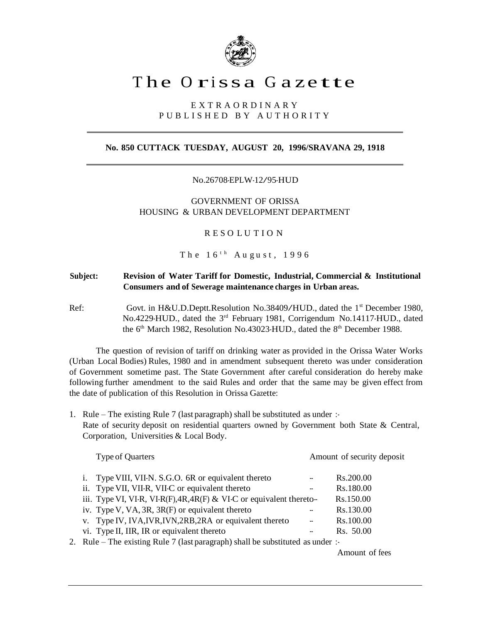

# The Orissa Gazette

## E X T R A O R D I N A R Y P U B L I S H E D B Y A U T H O R I T Y

## **No. 850 CUTTACK TUESDAY, AUGUST 20, 1996/SRAVANA 29, 1918**

No.26708-EPLW-12/95-HUD

GOVERNMENT OF ORISSA HOUSING & URBAN DEVELOPMENT DEPARTMENT

R E S O L U T I O N

 ${\footnotesize\texttt{T}}$  he  $16^{\texttt{th}}$  August,  $1996$ 

## **Subject: Revision of Water Tariff for Domestic, Industrial, Commercial & Institutional Consumers and of Sewerage maintenance charges in Urban areas.**

Ref: Govt. in H&U.D.Deptt.Resolution No.38409/HUD., dated the 1<sup>st</sup> December 1980, No.4229-HUD., dated the 3<sup>rd</sup> February 1981, Corrigendum No.14117-HUD., dated the  $6<sup>th</sup>$  March 1982, Resolution No.43023-HUD., dated the  $8<sup>th</sup>$  December 1988.

The question of revision of tariff on drinking water as provided in the Orissa Water Works (Urban Local Bodies) Rules, 1980 and in amendment subsequent thereto was under consideration of Government sometime past. The State Government after careful consideration do hereby make following further amendment to the said Rules and order that the same may be given effect from the date of publication of this Resolution in Orissa Gazette:

1. Rule – The existing Rule 7 (last paragraph) shall be substituted as under :-Rate of security deposit on residential quarters owned by Government both State & Central, Corporation, Universities & Local Body.

| <b>Type of Quarters</b>                                                    | Amount of security deposit |           |  |
|----------------------------------------------------------------------------|----------------------------|-----------|--|
| i. Type VIII, VII-N. S.G.O. 6R or equivalent thereto                       | $\overline{\phantom{a}}$   | Rs.200.00 |  |
| ii. Type VII, VII-R, VII-C or equivalent thereto                           | --                         | Rs.180.00 |  |
| iii. Type VI, VI-R, VI-R(F), $4R$ , $4R$ (F) & VI-C or equivalent thereto- |                            | Rs.150.00 |  |
| iv. Type V, VA, $3R$ , $3R$ (F) or equivalent thereto                      | --                         | Rs.130.00 |  |
| v. Type IV, IVA, IVR, IVN, 2RB, 2RA or equivalent thereto                  | ۰.                         | Rs.100.00 |  |
| vi. Type II, IIR, IR or equivalent thereto                                 | $\overline{\phantom{a}}$   | Rs. 50.00 |  |
|                                                                            |                            |           |  |

2. Rule – The existing Rule 7 (last paragraph) shall be substituted as under :-

Amount of fees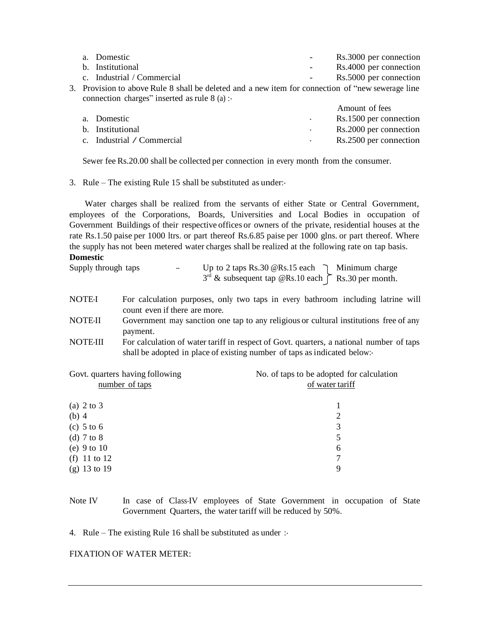| a. Domestic                                                                                        | Rs.3000 per connection |
|----------------------------------------------------------------------------------------------------|------------------------|
| b. Institutional                                                                                   | Rs.4000 per connection |
| c. Industrial / Commercial                                                                         | Rs.5000 per connection |
| 3. Provision to above Rule 8 shall be deleted and a new item for connection of "new sewerage line" |                        |
| connection charges" inserted as rule $8$ (a):                                                      |                        |
|                                                                                                    | Amount of fees         |
|                                                                                                    |                        |

|                            | $1.1110$ and $0.11000$ |
|----------------------------|------------------------|
| a. Domestic                | Rs.1500 per connection |
| b. Institutional           | Rs.2000 per connection |
| c. Industrial / Commercial | Rs.2500 per connection |

Sewer fee Rs.20.00 shall be collected per connection in every month from the consumer.

3. Rule – The existing Rule 15 shall be substituted as under:-

Water charges shall be realized from the servants of either State or Central Government, employees of the Corporations, Boards, Universities and Local Bodies in occupation of Government Buildings of their respective offices or owners of the private, residential houses at the rate Rs.1.50 paise per 1000 ltrs. or part thereof Rs.6.85 paise per 1000 glns. or part thereof. Where the supply has not been metered water charges shall be realized at the following rate on tap basis. **Domestic**

| Supply through taps | $\overline{\phantom{a}}$ | Up to 2 taps Rs.30 @Rs.15 each $\bigcap$ Minimum charge        |  |
|---------------------|--------------------------|----------------------------------------------------------------|--|
|                     |                          | $3rd$ & subsequent tap @Rs.10 each $\uparrow$ Rs.30 per month. |  |

- NOTE-I For calculation purposes, only two taps in every bathroom including latrine will count even if there are more.
- NOTE-II Government may sanction one tap to any religious or cultural institutions free of any payment.
- NOTE-III For calculation of water tariff in respect of Govt. quarters, a national number of taps shall be adopted in place of existing number of taps as indicated below:-

| Govt. quarters having following | No. of taps to be adopted for calculation |  |  |
|---------------------------------|-------------------------------------------|--|--|
| number of taps                  | of water tariff                           |  |  |
|                                 |                                           |  |  |
| (a) $2 \text{ to } 3$           |                                           |  |  |
| $(b)$ 4                         | 2                                         |  |  |
| $(c)$ 5 to 6                    | 3                                         |  |  |
| (d) $7$ to $8$                  | 5                                         |  |  |
| (e) $9$ to $10$                 | 6                                         |  |  |
| (f) 11 to 12                    |                                           |  |  |
| $(g)$ 13 to 19                  | 9                                         |  |  |
|                                 |                                           |  |  |

Note IV In case of Class-IV employees of State Government in occupation of State Government Quarters, the water tariff will be reduced by 50%.

4. Rule – The existing Rule 16 shall be substituted as under :-

#### FIXATION OF WATER METER: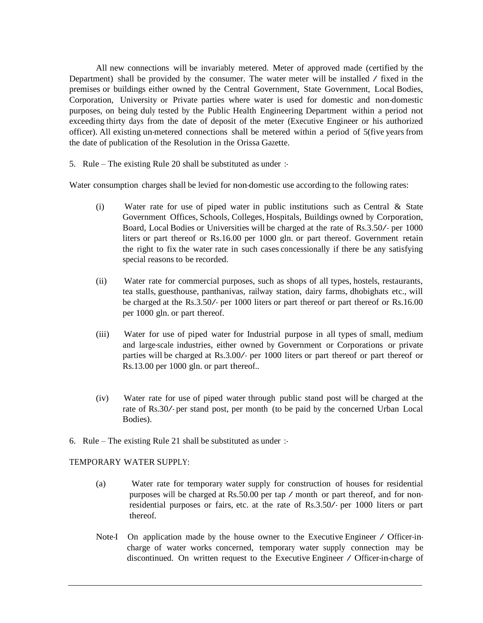All new connections will be invariably metered. Meter of approved made (certified by the Department) shall be provided by the consumer. The water meter will be installed  $\angle$  fixed in the premises or buildings either owned by the Central Government, State Government, Local Bodies, Corporation, University or Private parties where water is used for domestic and non-domestic purposes, on being duly tested by the Public Health Engineering Department within a period not exceeding thirty days from the date of deposit of the meter (Executive Engineer or his authorized officer). All existing un-metered connections shall be metered within a period of 5(five years from the date of publication of the Resolution in the Orissa Gazette.

5. Rule – The existing Rule 20 shall be substituted as under :-

Water consumption charges shall be levied for non-domestic use according to the following rates:

- (i) Water rate for use of piped water in public institutions such as Central & State Government Offices, Schools, Colleges, Hospitals, Buildings owned by Corporation, Board, Local Bodies or Universities will be charged at the rate of Rs.3.50/- per <sup>1000</sup> liters or part thereof or Rs.16.00 per 1000 gln. or part thereof. Government retain the right to fix the water rate in such cases concessionally if there be any satisfying special reasons to be recorded.
- (ii) Water rate for commercial purposes, such as shops of all types, hostels, restaurants, tea stalls, guesthouse, panthanivas, railway station, dairy farms, dhobighats etc., will be charged at the Rs.3.50/- per <sup>1000</sup> liters or part thereof or part thereof or Rs.16.00 per 1000 gln. or part thereof.
- (iii) Water for use of piped water for Industrial purpose in all types of small, medium and large-scale industries, either owned by Government or Corporations or private parties will be charged at Rs.3.00/- per <sup>1000</sup> liters or part thereof or part thereof or Rs.13.00 per 1000 gln. or part thereof..
- (iv) Water rate for use of piped water through public stand post will be charged at the rate of Rs.30/- per stand post, per month (to be paid by the concerned Urban Local Bodies).
- 6. Rule The existing Rule 21 shall be substituted as under :-

#### TEMPORARY WATER SUPPLY:

- (a) Water rate for temporary water supply for construction of houses for residential purposes will be charged at Rs.50.00 per tap / month or part thereof, and for nonresidential purposes or fairs, etc. at the rate of Rs.3.50/- per <sup>1000</sup> liters or part thereof.
- Note-I On application made by the house owner to the Executive Engineer / Officer-incharge of water works concerned, temporary water supply connection may be discontinued. On written request to the Executive Engineer / Officer-in-charge of